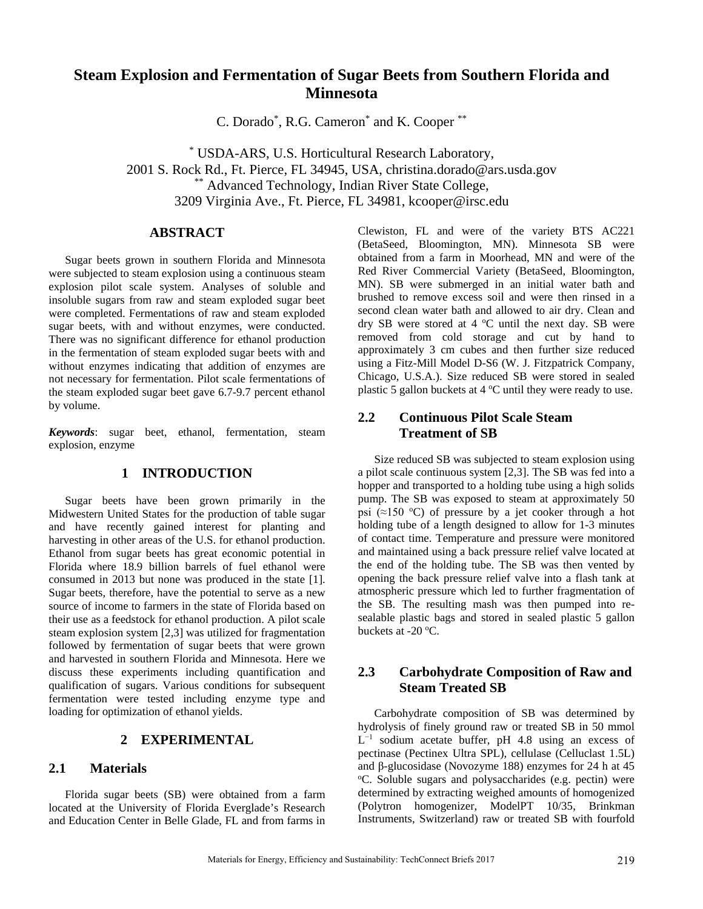# **Steam Explosion and Fermentation of Sugar Beets from Southern Florida and Minnesota**

C. Dorado\* , R.G. Cameron\* and K. Cooper \*\*

\* USDA-ARS, U.S. Horticultural Research Laboratory, 2001 S. Rock Rd., Ft. Pierce, FL 34945, USA, christina.dorado@ars.usda.gov \*\*\* Advanced Technology, Indian River State College, 3209 Virginia Ave., Ft. Pierce, FL 34981, kcooper@irsc.edu

## **ABSTRACT**

Sugar beets grown in southern Florida and Minnesota were subjected to steam explosion using a continuous steam explosion pilot scale system. Analyses of soluble and insoluble sugars from raw and steam exploded sugar beet were completed. Fermentations of raw and steam exploded sugar beets, with and without enzymes, were conducted. There was no significant difference for ethanol production in the fermentation of steam exploded sugar beets with and without enzymes indicating that addition of enzymes are not necessary for fermentation. Pilot scale fermentations of the steam exploded sugar beet gave 6.7-9.7 percent ethanol by volume.

*Keywords*: sugar beet, ethanol, fermentation, steam explosion, enzyme

### **1 INTRODUCTION**

Sugar beets have been grown primarily in the Midwestern United States for the production of table sugar and have recently gained interest for planting and harvesting in other areas of the U.S. for ethanol production. Ethanol from sugar beets has great economic potential in Florida where 18.9 billion barrels of fuel ethanol were consumed in 2013 but none was produced in the state [1]. Sugar beets, therefore, have the potential to serve as a new source of income to farmers in the state of Florida based on their use as a feedstock for ethanol production. A pilot scale steam explosion system [2,3] was utilized for fragmentation followed by fermentation of sugar beets that were grown and harvested in southern Florida and Minnesota. Here we discuss these experiments including quantification and qualification of sugars. Various conditions for subsequent fermentation were tested including enzyme type and loading for optimization of ethanol yields.

### **2 EXPERIMENTAL**

#### **2.1 Materials**

Florida sugar beets (SB) were obtained from a farm located at the University of Florida Everglade's Research and Education Center in Belle Glade, FL and from farms in Clewiston, FL and were of the variety BTS AC221 (BetaSeed, Bloomington, MN). Minnesota SB were obtained from a farm in Moorhead, MN and were of the Red River Commercial Variety (BetaSeed, Bloomington, MN). SB were submerged in an initial water bath and brushed to remove excess soil and were then rinsed in a second clean water bath and allowed to air dry. Clean and dry SB were stored at 4 °C until the next day. SB were removed from cold storage and cut by hand to approximately 3 cm cubes and then further size reduced using a Fitz-Mill Model D-S6 (W. J. Fitzpatrick Company, Chicago, U.S.A.). Size reduced SB were stored in sealed plastic 5 gallon buckets at  $4^{\circ}$ C until they were ready to use.

# **2.2 Continuous Pilot Scale Steam Treatment of SB**

Size reduced SB was subjected to steam explosion using a pilot scale continuous system [2,3]. The SB was fed into a hopper and transported to a holding tube using a high solids pump. The SB was exposed to steam at approximately 50 psi ( $\approx$ 150 °C) of pressure by a jet cooker through a hot holding tube of a length designed to allow for 1-3 minutes of contact time. Temperature and pressure were monitored and maintained using a back pressure relief valve located at the end of the holding tube. The SB was then vented by opening the back pressure relief valve into a flash tank at atmospheric pressure which led to further fragmentation of the SB. The resulting mash was then pumped into resealable plastic bags and stored in sealed plastic 5 gallon buckets at  $-20$  °C.

### **2.3 Carbohydrate Composition of Raw and Steam Treated SB**

Carbohydrate composition of SB was determined by hydrolysis of finely ground raw or treated SB in 50 mmol  $L^{-1}$  sodium acetate buffer, pH 4.8 using an excess of pectinase (Pectinex Ultra SPL), cellulase (Celluclast 1.5L) and β-glucosidase (Novozyme 188) enzymes for 24 h at 45 o C. Soluble sugars and polysaccharides (e.g. pectin) were determined by extracting weighed amounts of homogenized (Polytron homogenizer, ModelPT 10/35, Brinkman Instruments, Switzerland) raw or treated SB with fourfold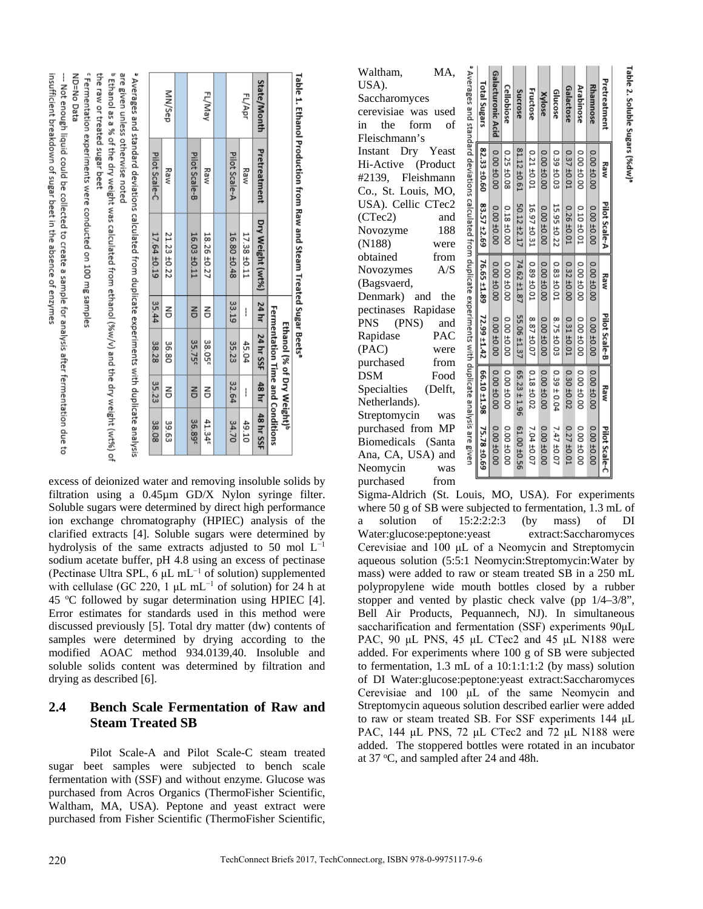| fficient breakdown of suggir beet in the absence of enzymes | -- Moteragnial could be related to create assumption and wisk after fermion due to Discuss that is a due to M | ND=No Data |
|-------------------------------------------------------------|---------------------------------------------------------------------------------------------------------------|------------|
|-------------------------------------------------------------|---------------------------------------------------------------------------------------------------------------|------------|

<sup>b</sup> Ethanol as a % of the dry weight was calculated from ethanol (%w/v) and the dry weight (wt%) of

the raw or treated sugar beet

Fermentation experiments were conducted on 100 mg samples

|             |                                  |                                                                                                             |        | <b>Fermentation Time and Conditions</b><br>Ethanol (% of Dry Weight)" |        |                    |
|-------------|----------------------------------|-------------------------------------------------------------------------------------------------------------|--------|-----------------------------------------------------------------------|--------|--------------------|
| State/Month | Pretreatment                     | Dry Weight (wt%)   24 hr   24 hr SSF                                                                        |        |                                                                       |        | 48 hr 48 hr SSF    |
| FL/Apr      | Raw                              | 17.38 ±0.11                                                                                                 | ļ      | 45.04                                                                 | ١      | 49.10              |
|             | Pilot Scale-A                    | 16.80 ±0.48                                                                                                 | 33.19  | 35.23                                                                 | 32.64  | 34.70              |
|             |                                  |                                                                                                             |        |                                                                       |        |                    |
| FL/May      | Raw                              | 18.26 ±0.27                                                                                                 | 릉      | 38.05 <sup>c</sup>                                                    | 릉      | 41.34              |
|             | Pilot Scale-B                    | 16.03 ±0.11                                                                                                 | $\leq$ | 35.75 <sup>c</sup>                                                    | $\leq$ | 36.89 <sup>c</sup> |
|             |                                  |                                                                                                             |        |                                                                       |        |                    |
| MN/Sep      | Raw                              | 21.23 ±0.22                                                                                                 | 릉      | 36.80                                                                 | 릉      | 39.63              |
|             | Pilot Scale-C                    | 17.64 ±0.19                                                                                                 | 35.44  | 38.28                                                                 | 35.23  | 38.08              |
|             |                                  | <sup>2</sup> Averages and standard deviations calculated from duplicate experiments with duplicate analysis |        |                                                                       |        |                    |
|             | are given unless otherwise noted |                                                                                                             |        |                                                                       |        |                    |

Table 1. Ethanol Production from Raw and Steam Treated Sugar Beets'

excess of deionized water and removing insoluble solids by filtration using a 0.45µm GD/X Nylon syringe filter. Soluble sugars were determined by direct high performance ion exchange chromatography (HPIEC) analysis of the clarified extracts [4]. Soluble sugars were determined by hydrolysis of the same extracts adjusted to 50 mol L−1 sodium acetate buffer, pH 4.8 using an excess of pectinase (Pectinase Ultra SPL, 6 μL mL−1 of solution) supplemented with cellulase (GC 220, 1  $\mu$ L mL<sup>-1</sup> of solution) for 24 h at 45 °C followed by sugar determination using HPIEC [4]. Error estimates for standards used in this method were discussed previously [5]. Total dry matter (dw) contents of samples were determined by drying according to the modified AOAC method 934.0139,40. Insoluble and soluble solids content was determined by filtration and drying as described [6].

# **2.4 Bench Scale Fermentation of Raw and Steam Treated SB**

Pilot Scale-A and Pilot Scale-C steam treated sugar beet samples were subjected to bench scale fermentation with (SSF) and without enzyme. Glucose was purchased from Acros Organics (ThermoFisher Scientific, Waltham, MA, USA). Peptone and yeast extract were purchased from Fisher Scientific (ThermoFisher Scientific,

Waltham, MA, USA). Saccharomyces cerevisiae was used in the form of Fleischmann's Instant Dry Yeast Hi-Active (Product #2139, Fleishmann Co., St. Louis, MO, USA). Cellic CTec2 (CTec2) and Novozyme 188 (N188) were obtained from Novozymes A/S (Bagsvaerd, Denmark) and the pectinases Rapidase PNS (PNS) and Rapidase PAC (PAC) were purchased from DSM Food Specialties (Delft, Netherlands). Streptomycin was purchased from MP Biomedicals (Santa Ana, CA, USA) and Neomycin was

purchased from

| Pretreatment                                                                                               | Kaw           | Pilot Scale-A           | Kaw         | Pilot Scale-B                     | Kaw                          | Pilot Scale-C |
|------------------------------------------------------------------------------------------------------------|---------------|-------------------------|-------------|-----------------------------------|------------------------------|---------------|
| <b>Rhamnose</b>                                                                                            | 00.04 00.0    | 00.00 ±0.00             | 00.04 00.0  | 00.00 ±0.00                       | 0.00 ±0.00                   | 00.00 ±0.00   |
| <b>Arabinose</b>                                                                                           | 00.00 ±0.00   | 0.10 ±0.01              | 00.01 ±0.00 | 00.01 00.00                       | 00.01 00.00                  | DO 40.00.0    |
| Galactose                                                                                                  | $0.37 + 0.01$ | 0.26 ±0.01              | 0.32 ±0.00  | $0.31 + 0.01$                     | 0.30 ±0.02                   | 0.27 ±0.01    |
| Glucose                                                                                                    | 0.39 ±0.03    | 15.95 ±0.22             | 0.83 ±0.01  | 8.75 ±0.03                        | 0.39 ± 0.04                  | 7.47 ±0.07    |
| Xylose                                                                                                     | 0.00 ±0.00    | 00.00 ±0.00             | 00.00 ±0.00 | 00.00 ±0.00                       | 00 00 00                     | 00 00 00      |
| Fructose                                                                                                   | 0.21 ±0.01    | 16.97 ±0.31             | 0.89 ±0.01  | 8.87 ±0.07                        | $0.18 + 0.02$                | 7.04 ±0.07    |
| Sucrose                                                                                                    | 81.12 ±0.61   | 50.12 ±2.17             | 74.62 ±1.87 | 55.06 ±1.37                       | $165.23 \pm 1.96$            | 61.00 ±0.56   |
| Cellobiose                                                                                                 | 0.25 ±0.08    | 00.0481.0               | 00.01 00.00 | 00.040.00                         | 00.040.00                    | 00.00 ±0.00   |
| <b>Galacturonic Acid</b>                                                                                   | 0.00 ±0.00    | 00.00 ±0.00             | 00.04 00.0  | 00'04 00'0                        | 0.00 ±0.00                   | 0.00 ±0.00    |
| Total Sugars                                                                                               |               | 82.33 ±0.60 83.57 ±2.69 |             | $16.65 \pm 1.89$ 72.99 $\pm 1.42$ | $66.10 \pm 1.98$ 75.78 ±0.69 |               |
| a Averages and standard deviations calculated from duplicate experiments with duplicate analysis are eiven |               |                         |             |                                   |                              |               |

Sigma-Aldrich (St. Louis, MO, USA). For experiments where 50 g of SB were subjected to fermentation, 1.3 mL of a solution of 15:2:2:2:3 (by mass) of DI Water:glucose:peptone:yeast extract:Saccharomyces Cerevisiae and 100 μL of a Neomycin and Streptomycin aqueous solution (5:5:1 Neomycin:Streptomycin:Water by mass) were added to raw or steam treated SB in a 250 mL polypropylene wide mouth bottles closed by a rubber stopper and vented by plastic check valve (pp 1/4–3/8", Bell Air Products, Pequannech, NJ). In simultaneous saccharification and fermentation (SSF) experiments  $90\mu L$ PAC, 90 μL PNS, 45 μL CTec2 and 45 μL N188 were added. For experiments where 100 g of SB were subjected to fermentation, 1.3 mL of a 10:1:1:1:2 (by mass) solution of DI Water:glucose:peptone:yeast extract:Saccharomyces Cerevisiae and 100 μL of the same Neomycin and Streptomycin aqueous solution described earlier were added to raw or steam treated SB. For SSF experiments 144 μL PAC, 144 μL PNS, 72 μL CTec2 and 72 μL N188 were added. The stoppered bottles were rotated in an incubator at 37 °C, and sampled after 24 and 48h.

Table 2. Soluble Sugars (%dw)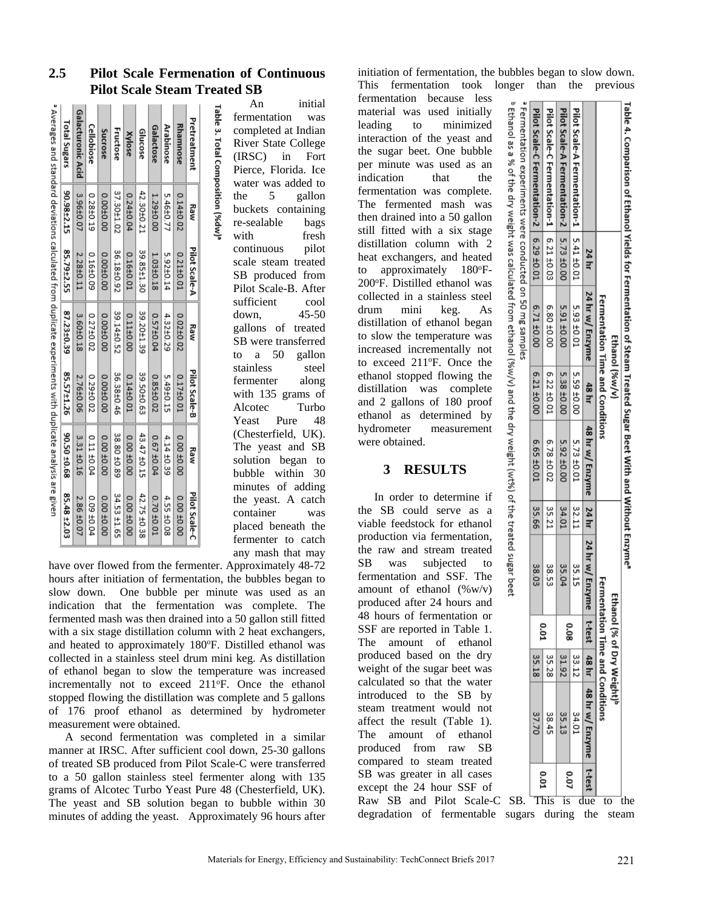| Pretreatment             | Kaw        | Pilot Scale-A | Kaw        | Pilot Scale-B | Kaw         | Pilot Scale-C    |
|--------------------------|------------|---------------|------------|---------------|-------------|------------------|
| <b>Rhamnose</b>          | 0.14±0.02  | 0.21±0.01     | 0.02±0.02  | 0.17±0.01     | 00.00 ±0.00 | 00.00 ±0.00      |
| <b>Arabinose</b>         | 5.46±0.77  | 5.92±0.14     | 4.32±0.29  | 5.49±0.15     | 4.14 ±0.39  | 4.55 ±0.08       |
| Galactose                | 1.29±0.00  | 1.03±0.18     | 0.57±0.04  | 0.85±0.02     | 0.67 ±0.04  | 0.70 ±0.01       |
| Glucose                  | 42.30±0.21 | 39.85±1.30    | 39.20±1.39 | 39.50±0.63    | 43.47 ±0.15 | 42.75 ±0.38      |
| Xylose                   | 0.24±0.04  | 0.16±0.01     | 0.11±0.00  | 0.14±0.01     | 00.00 ±0.00 | 0070700          |
| <b>Fructose</b>          | 37.30±1.02 | 36.18±0.92    | 39.14±0.52 | 36.38±0.46    | 38.80 ±0.89 | 34.53 ±1.65      |
| Sucrose                  | 0.00±0.00  | 0.00±0.00     | 0.00±0.00  | 0.00±0.00     | 0.00 ±0.00  | 00.00 ±0.00      |
| Cellobiose               | 0.28±0.19  | 0.16±0.09     | 0.27±0.02  | 0.29±0.02     | 0.11 ±0.04  | 0.09 ±0.04       |
| <b>Galacturonic Acid</b> | 3.96±0.07  | 2.28±0.11     | 3.60±0.18  | 2.76±0.06     | 3.31 ±0.16  | 2.86 ±0.07       |
| Total Sugars             | 90.98±2.15 | 85.79±2.55    | 87.23±0.39 | 85.57±1.26    | 90.50 ±0.68 | $85.48 \pm 2.03$ |

**2.5 Pilot Scale Fermenation of Continuous Pilot Scale Steam Treated SB**

An initial fermentation was completed at Indian River State College (IRSC) in Fort Pierce, Florida. Ice water was added to the 5 gallon buckets containing re-sealable bags with fresh continuous pilot scale steam treated SB produced from Pilot Scale-B. After sufficient cool down, 45-50 gallons of treated SB were transferred to a 50 gallon stainless steel fermenter along with 135 grams of Alcotec Turbo Yeast Pure 48 (Chesterfield, UK). The yeast and SB solution began to bubble within 30 minutes of adding the yeast. A catch container was placed beneath the fermenter to catch any mash that may

have over flowed from the fermenter. Approximately 48-72 hours after initiation of fermentation, the bubbles began to slow down. One bubble per minute was used as an indication that the fermentation was complete. The fermented mash was then drained into a 50 gallon still fitted with a six stage distillation column with 2 heat exchangers, and heated to approximately 180°F. Distilled ethanol was collected in a stainless steel drum mini keg. As distillation of ethanol began to slow the temperature was increased incrementally not to exceed 211°F. Once the ethanol stopped flowing the distillation was complete and 5 gallons of 176 proof ethanol as determined by hydrometer measurement were obtained.

A second fermentation was completed in a similar manner at IRSC. After sufficient cool down, 25-30 gallons of treated SB produced from Pilot Scale-C were transferred to a 50 gallon stainless steel fermenter along with 135 grams of Alcotec Turbo Yeast Pure 48 (Chesterfield, UK). The yeast and SB solution began to bubble within 30 minutes of adding the yeast. Approximately 96 hours after initiation of fermentation, the bubbles began to slow down. This fermentation took longer than the previous

fermentation because less material was used initially leading to minimized interaction of the yeast and the sugar beet. One bubble per minute was used as an indication that the fermentation was complete. The fermented mash was then drained into a 50 gallon still fitted with a six stage distillation column with 2 heat exchangers, and heated to approximately 180°F-200°F. Distilled ethanol was collected in a stainless steel drum mini keg. As distillation of ethanol began to slow the temperature was increased incrementally not to exceed 211°F. Once the ethanol stopped flowing the distillation was complete and 2 gallons of 180 proof ethanol as determined by hydrometer measurement were obtained.

# **3 RESULTS**

In order to determine if the SB could serve as a viable feedstock for ethanol production via fermentation, the raw and stream treated SB was subjected to fermentation and SSF. The amount of ethanol  $(\%w/v)$ produced after 24 hours and 48 hours of fermentation or SSF are reported in Table 1. The amount of ethanol produced based on the dry weight of the sugar beet was calculated so that the water introduced to the SB by steam treatment would not affect the result (Table 1). The amount of ethanol produced from raw SB compared to steam treated SB was greater in all cases except the 24 hour SSF of Raw SB and Pilot Scale-C SB. This is due to the

degradation of fermentable sugars during the steam

' Fermentation experiments were conducted on 50 mg samples Pilot Scale-C Fermentation-1 Pilot Scale-A Fermentation-2 Pilot Scale-A Ethanol Pilot Scale-C Fermentation-2 as a % of the dry weight was calculated from Fermentation-1  $\begin{array}{|l|l|l|} \hline 5.41 \pm 0.01 \\ \hline 5.73 \pm 0.00 \\ \hline 6.21 \pm 0.03 \\ \hline \end{array}$  $6.29 + 0.01$ 24 hr 24 hr w/ Enzyme Fermentation Time and Conditions 5.91 ±0.00 6.71 ±0.00 o, u ġ ပ္တ 00'07  $\frac{10.01}{10.01}$ ethanol Ethanol (%w/v) (%w/v) and the dry weight (wt%) of the treated sugar bee 5.38 ± 0.00 6.21 ±0.00 00'07 65'5 48 hr 48 hr w/ Enzyme  $6.78 \pm 0.02$ 5.92 ±0.00 5.73 ±0.01 6.65 ±0.01 35.21 34.01  $\frac{32.11}{2}$ 24 hr ġ 24 hr w/ Enzyme 38.53 35.04 35.15 38.03 Fermentation Time and Conditions Ethanol (% of Dry Weight)<sup>s</sup> t-test 0.08 **D.01** 31.92 48 hr  $\frac{33.12}{2}$ 35.18 35.28 48 hr w/ Enzyme 35.13 34.01 37.70 88 ₹,

Table 4. Comparison of Ethanol Yields for Fermentation of Steam Treated Sugar Beet With and Without Enzyme'

t-test

0.07

**D.01**